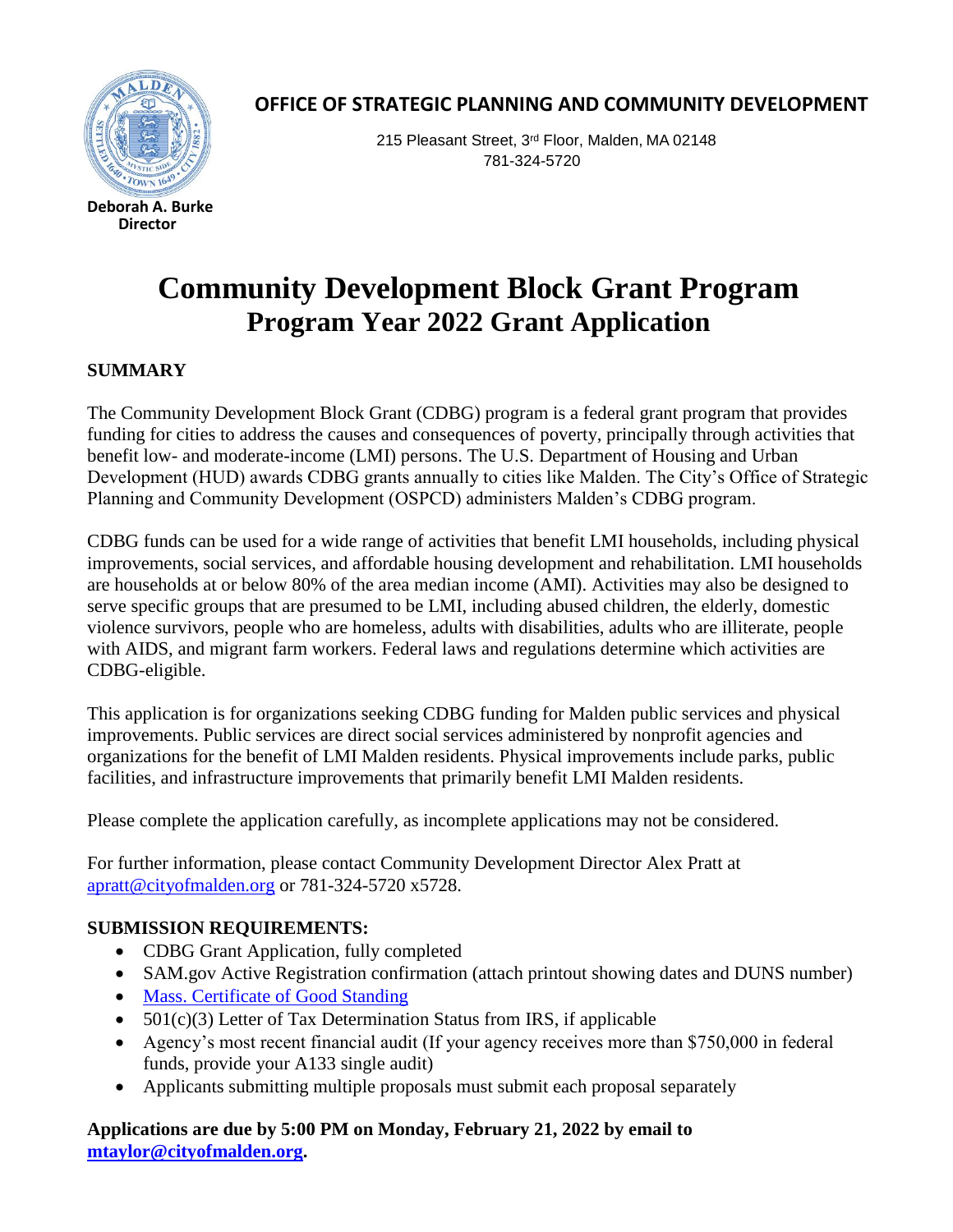

**Director**

 **OFFICE OF STRATEGIC PLANNING AND COMMUNITY DEVELOPMENT**

215 Pleasant Street, 3rd Floor, Malden, MA 02148 781-324-5720

# **Community Development Block Grant Program Program Year 2022 Grant Application**

## **SUMMARY**

The Community Development Block Grant (CDBG) program is a federal grant program that provides funding for cities to address the causes and consequences of poverty, principally through activities that benefit low- and moderate-income (LMI) persons. The U.S. Department of Housing and Urban Development (HUD) awards CDBG grants annually to cities like Malden. The City's Office of Strategic Planning and Community Development (OSPCD) administers Malden's CDBG program.

CDBG funds can be used for a wide range of activities that benefit LMI households, including physical improvements, social services, and affordable housing development and rehabilitation. LMI households are households at or below 80% of the area median income (AMI). Activities may also be designed to serve specific groups that are presumed to be LMI, including abused children, the elderly, domestic violence survivors, people who are homeless, adults with disabilities, adults who are illiterate, people with AIDS, and migrant farm workers. Federal laws and regulations determine which activities are CDBG-eligible.

This application is for organizations seeking CDBG funding for Malden public services and physical improvements. Public services are direct social services administered by nonprofit agencies and organizations for the benefit of LMI Malden residents. Physical improvements include parks, public facilities, and infrastructure improvements that primarily benefit LMI Malden residents.

Please complete the application carefully, as incomplete applications may not be considered.

For further information, please contact Community Development Director Alex Pratt at [apratt@cityofmalden.org](mailto:apratt@cityofmalden.org) or 781-324-5720 x5728.

# **SUBMISSION REQUIREMENTS:**

- CDBG Grant Application, fully completed
- SAM.gov Active Registration confirmation (attach printout showing dates and DUNS number)
- [Mass. Certificate of Good Standing](https://www.sec.state.ma.us/cor/coridx.htm)
- $\bullet$  501(c)(3) Letter of Tax Determination Status from IRS, if applicable
- Agency's most recent financial audit (If your agency receives more than \$750,000 in federal funds, provide your A133 single audit)
- Applicants submitting multiple proposals must submit each proposal separately

**Applications are due by 5:00 PM on Monday, February 21, 2022 by email to [mtaylor@cityofmalden.org.](mailto:mtaylor@cityofmalden.org)**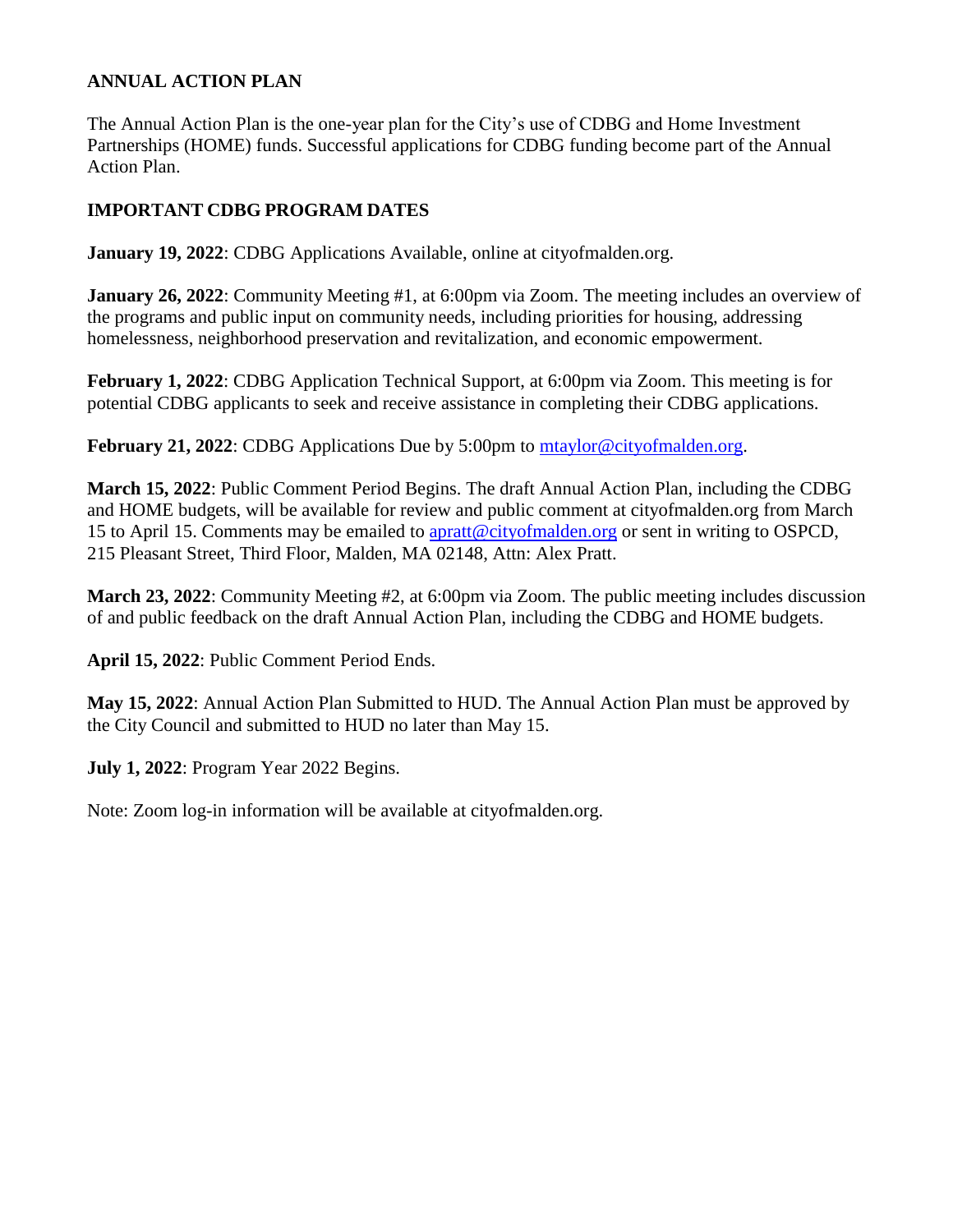# **ANNUAL ACTION PLAN**

The Annual Action Plan is the one-year plan for the City's use of CDBG and Home Investment Partnerships (HOME) funds. Successful applications for CDBG funding become part of the Annual Action Plan.

# **IMPORTANT CDBG PROGRAM DATES**

**January 19, 2022:** CDBG Applications Available, online at cityofmalden.org.

**January 26, 2022:** Community Meeting #1, at 6:00pm via Zoom. The meeting includes an overview of the programs and public input on community needs, including priorities for housing, addressing homelessness, neighborhood preservation and revitalization, and economic empowerment.

**February 1, 2022**: CDBG Application Technical Support, at 6:00pm via Zoom. This meeting is for potential CDBG applicants to seek and receive assistance in completing their CDBG applications.

**February 21, 2022**: CDBG Applications Due by 5:00pm to [mtaylor@cityofmalden.org.](mailto:mtaylor@cityofmalden.org)

**March 15, 2022**: Public Comment Period Begins. The draft Annual Action Plan, including the CDBG and HOME budgets, will be available for review and public comment at cityofmalden.org from March 15 to April 15. Comments may be emailed to [apratt@cityofmalden.org](mailto:apratt@cityofmalden.org) or sent in writing to OSPCD, 215 Pleasant Street, Third Floor, Malden, MA 02148, Attn: Alex Pratt.

**March 23, 2022**: Community Meeting #2, at 6:00pm via Zoom. The public meeting includes discussion of and public feedback on the draft Annual Action Plan, including the CDBG and HOME budgets.

**April 15, 2022**: Public Comment Period Ends.

**May 15, 2022**: Annual Action Plan Submitted to HUD. The Annual Action Plan must be approved by the City Council and submitted to HUD no later than May 15.

**July 1, 2022**: Program Year 2022 Begins.

Note: Zoom log-in information will be available at cityofmalden.org.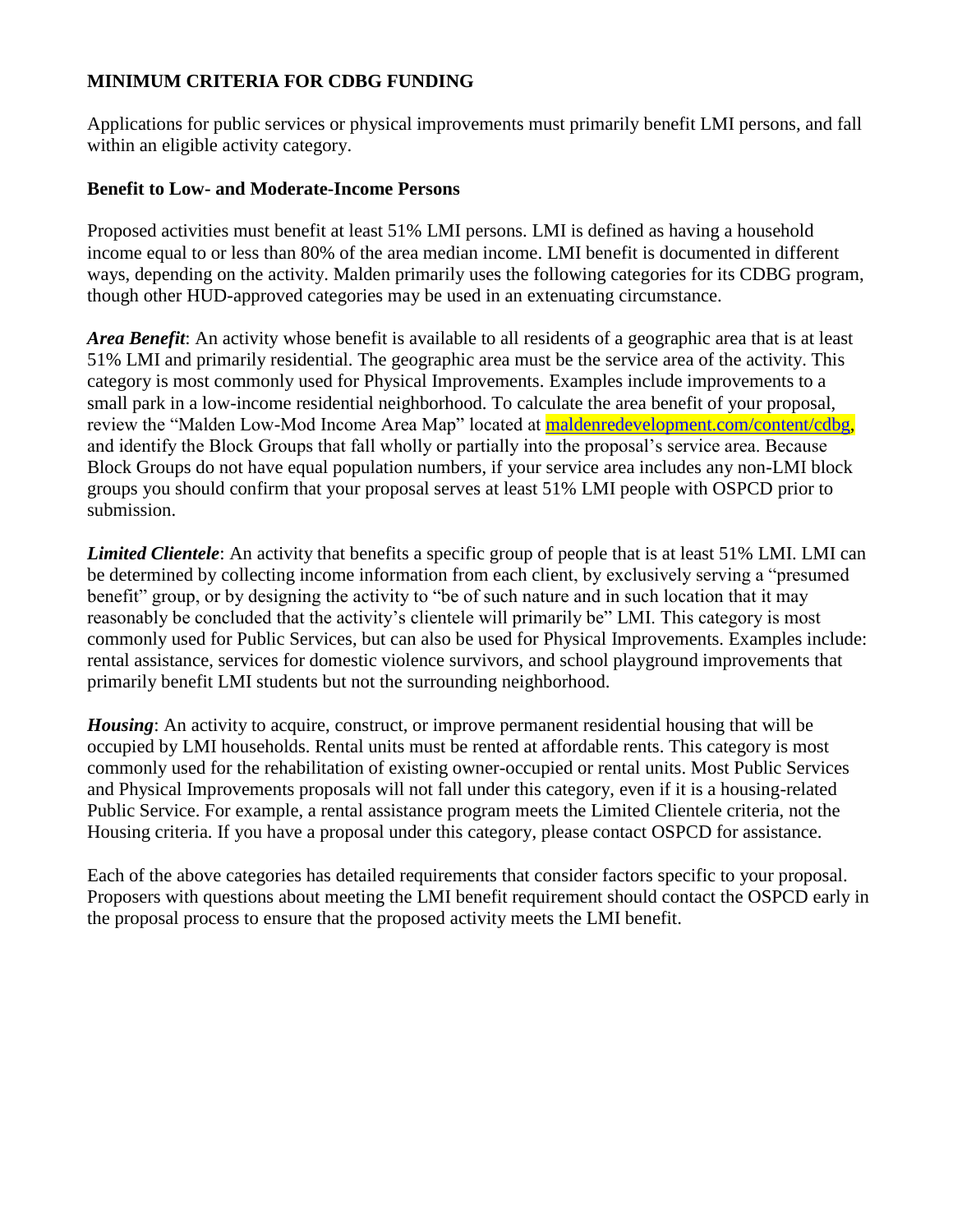# **MINIMUM CRITERIA FOR CDBG FUNDING**

Applications for public services or physical improvements must primarily benefit LMI persons, and fall within an eligible activity category.

## **Benefit to Low- and Moderate-Income Persons**

Proposed activities must benefit at least 51% LMI persons. LMI is defined as having a household income equal to or less than 80% of the area median income. LMI benefit is documented in different ways, depending on the activity. Malden primarily uses the following categories for its CDBG program, though other HUD-approved categories may be used in an extenuating circumstance.

*Area Benefit*: An activity whose benefit is available to all residents of a geographic area that is at least 51% LMI and primarily residential. The geographic area must be the service area of the activity. This category is most commonly used for Physical Improvements. Examples include improvements to a small park in a low-income residential neighborhood. To calculate the area benefit of your proposal, review the "Malden Low-Mod Income Area Map" located at [maldenredevelopment.com/content/cdbg,](https://maldenredevelopment.com/content/cdbg) and identify the Block Groups that fall wholly or partially into the proposal's service area. Because Block Groups do not have equal population numbers, if your service area includes any non-LMI block groups you should confirm that your proposal serves at least 51% LMI people with OSPCD prior to submission.

*Limited Clientele*: An activity that benefits a specific group of people that is at least 51% LMI. LMI can be determined by collecting income information from each client, by exclusively serving a "presumed benefit" group, or by designing the activity to "be of such nature and in such location that it may reasonably be concluded that the activity's clientele will primarily be" LMI. This category is most commonly used for Public Services, but can also be used for Physical Improvements. Examples include: rental assistance, services for domestic violence survivors, and school playground improvements that primarily benefit LMI students but not the surrounding neighborhood.

*Housing*: An activity to acquire, construct, or improve permanent residential housing that will be occupied by LMI households. Rental units must be rented at affordable rents. This category is most commonly used for the rehabilitation of existing owner-occupied or rental units. Most Public Services and Physical Improvements proposals will not fall under this category, even if it is a housing-related Public Service. For example, a rental assistance program meets the Limited Clientele criteria, not the Housing criteria. If you have a proposal under this category, please contact OSPCD for assistance.

Each of the above categories has detailed requirements that consider factors specific to your proposal. Proposers with questions about meeting the LMI benefit requirement should contact the OSPCD early in the proposal process to ensure that the proposed activity meets the LMI benefit.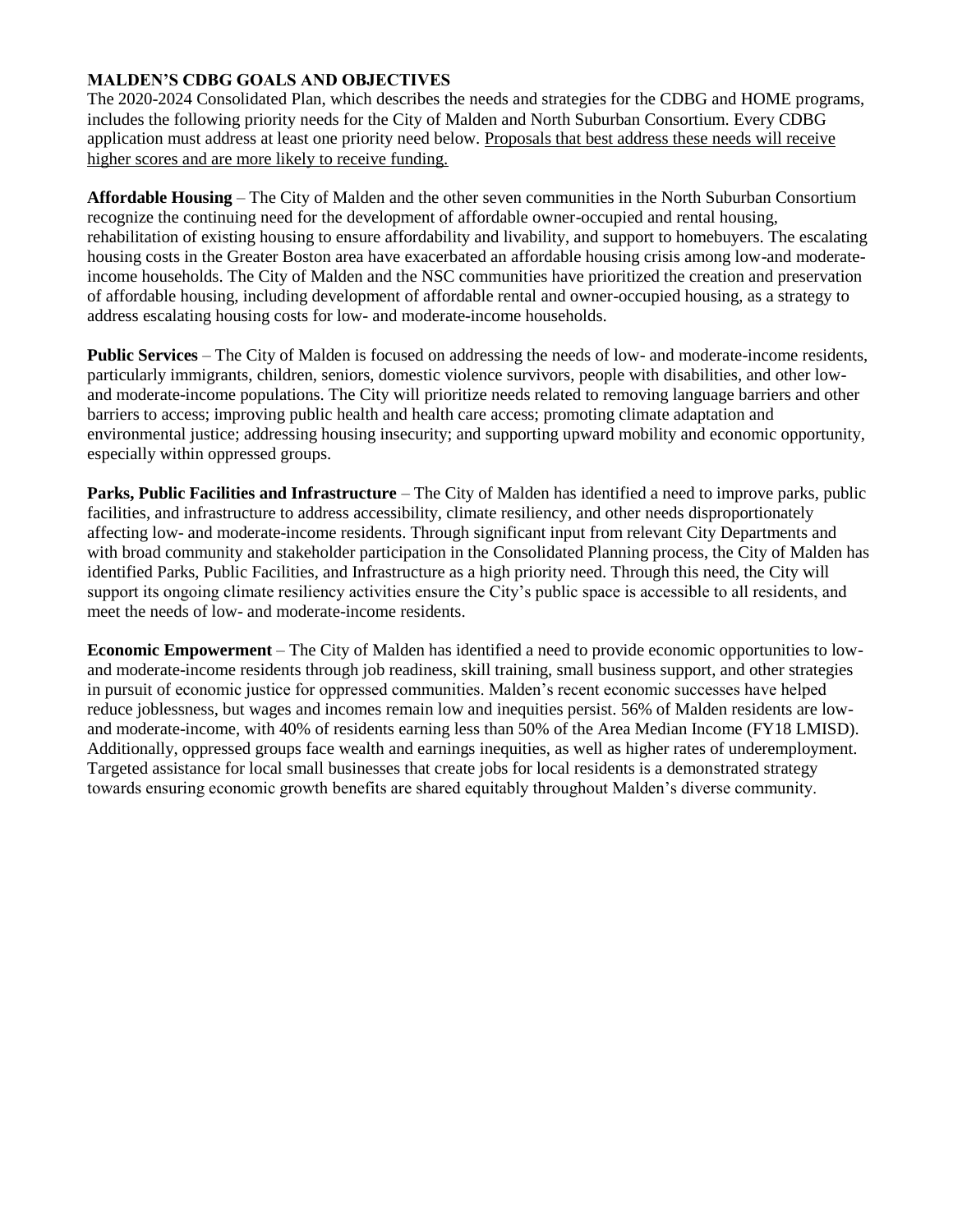## **MALDEN'S CDBG GOALS AND OBJECTIVES**

The 2020-2024 Consolidated Plan, which describes the needs and strategies for the CDBG and HOME programs, includes the following priority needs for the City of Malden and North Suburban Consortium. Every CDBG application must address at least one priority need below. Proposals that best address these needs will receive higher scores and are more likely to receive funding.

**Affordable Housing** – The City of Malden and the other seven communities in the North Suburban Consortium recognize the continuing need for the development of affordable owner-occupied and rental housing, rehabilitation of existing housing to ensure affordability and livability, and support to homebuyers. The escalating housing costs in the Greater Boston area have exacerbated an affordable housing crisis among low-and moderateincome households. The City of Malden and the NSC communities have prioritized the creation and preservation of affordable housing, including development of affordable rental and owner-occupied housing, as a strategy to address escalating housing costs for low- and moderate-income households.

**Public Services** – The City of Malden is focused on addressing the needs of low- and moderate-income residents, particularly immigrants, children, seniors, domestic violence survivors, people with disabilities, and other lowand moderate-income populations. The City will prioritize needs related to removing language barriers and other barriers to access; improving public health and health care access; promoting climate adaptation and environmental justice; addressing housing insecurity; and supporting upward mobility and economic opportunity, especially within oppressed groups.

**Parks, Public Facilities and Infrastructure** – The City of Malden has identified a need to improve parks, public facilities, and infrastructure to address accessibility, climate resiliency, and other needs disproportionately affecting low- and moderate-income residents. Through significant input from relevant City Departments and with broad community and stakeholder participation in the Consolidated Planning process, the City of Malden has identified Parks, Public Facilities, and Infrastructure as a high priority need. Through this need, the City will support its ongoing climate resiliency activities ensure the City's public space is accessible to all residents, and meet the needs of low- and moderate-income residents.

**Economic Empowerment** – The City of Malden has identified a need to provide economic opportunities to lowand moderate-income residents through job readiness, skill training, small business support, and other strategies in pursuit of economic justice for oppressed communities. Malden's recent economic successes have helped reduce joblessness, but wages and incomes remain low and inequities persist. 56% of Malden residents are lowand moderate-income, with 40% of residents earning less than 50% of the Area Median Income (FY18 LMISD). Additionally, oppressed groups face wealth and earnings inequities, as well as higher rates of underemployment. Targeted assistance for local small businesses that create jobs for local residents is a demonstrated strategy towards ensuring economic growth benefits are shared equitably throughout Malden's diverse community.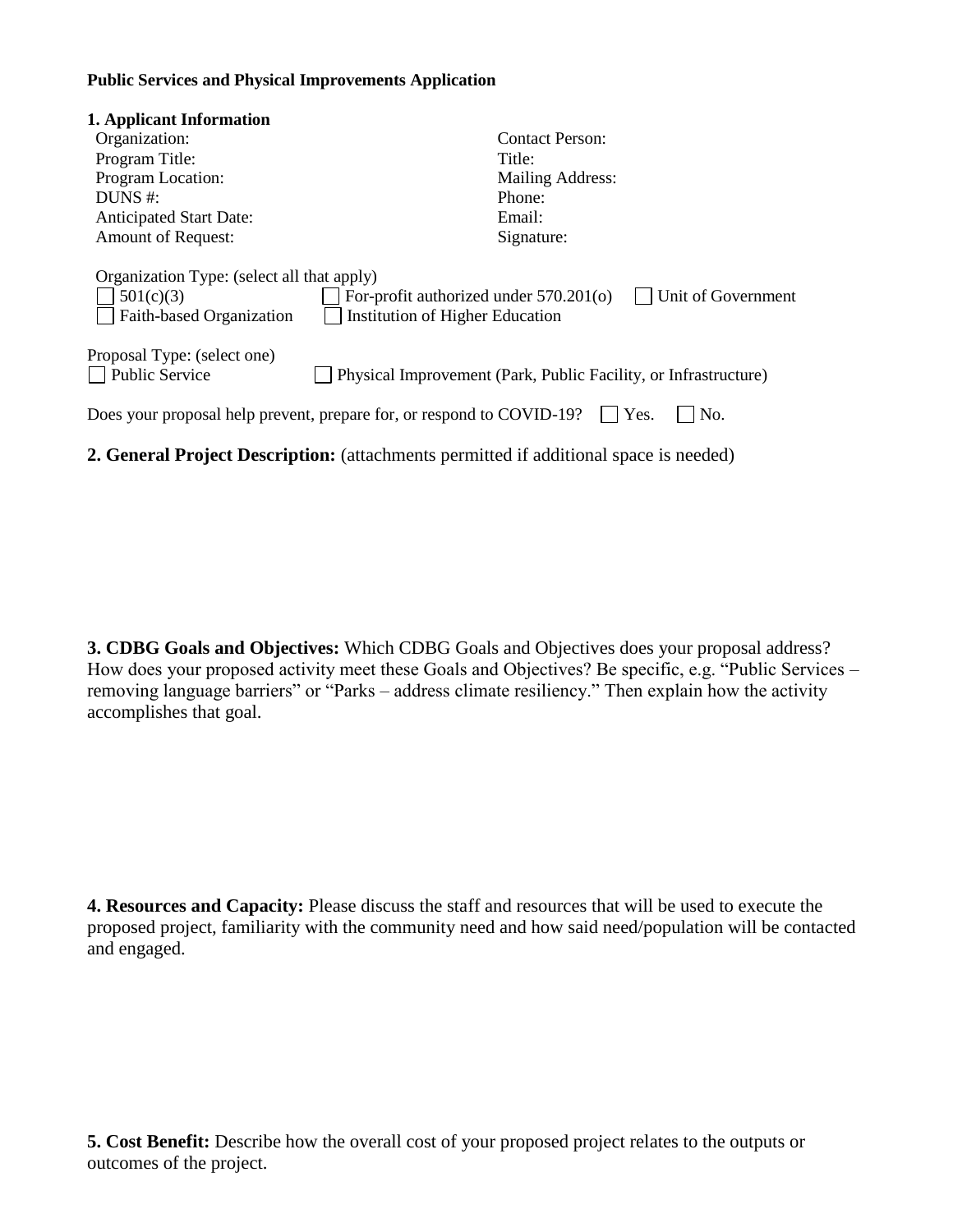#### **Public Services and Physical Improvements Application**

| 1. Applicant Information                                                                                                                                                               |                                                                 |  |  |  |
|----------------------------------------------------------------------------------------------------------------------------------------------------------------------------------------|-----------------------------------------------------------------|--|--|--|
| Organization:                                                                                                                                                                          | <b>Contact Person:</b>                                          |  |  |  |
| Program Title:                                                                                                                                                                         | Title:                                                          |  |  |  |
| Program Location:                                                                                                                                                                      | Mailing Address:                                                |  |  |  |
| DUNS $#$ :                                                                                                                                                                             | Phone:                                                          |  |  |  |
| <b>Anticipated Start Date:</b>                                                                                                                                                         | Email:                                                          |  |  |  |
| <b>Amount of Request:</b>                                                                                                                                                              | Signature:                                                      |  |  |  |
| Organization Type: (select all that apply)<br>Unit of Government<br>For-profit authorized under 570.201(o)<br>501(c)(3)<br>Faith-based Organization<br>Institution of Higher Education |                                                                 |  |  |  |
| Proposal Type: (select one)<br>Public Service                                                                                                                                          | Physical Improvement (Park, Public Facility, or Infrastructure) |  |  |  |
| Does your proposal help prevent, prepare for, or respond to COVID-19?<br>Yes.<br>No.                                                                                                   |                                                                 |  |  |  |

**2. General Project Description:** (attachments permitted if additional space is needed)

**3. CDBG Goals and Objectives:** Which CDBG Goals and Objectives does your proposal address? How does your proposed activity meet these Goals and Objectives? Be specific, e.g. "Public Services – removing language barriers" or "Parks – address climate resiliency." Then explain how the activity accomplishes that goal.

**4. Resources and Capacity:** Please discuss the staff and resources that will be used to execute the proposed project, familiarity with the community need and how said need/population will be contacted and engaged.

**5. Cost Benefit:** Describe how the overall cost of your proposed project relates to the outputs or outcomes of the project.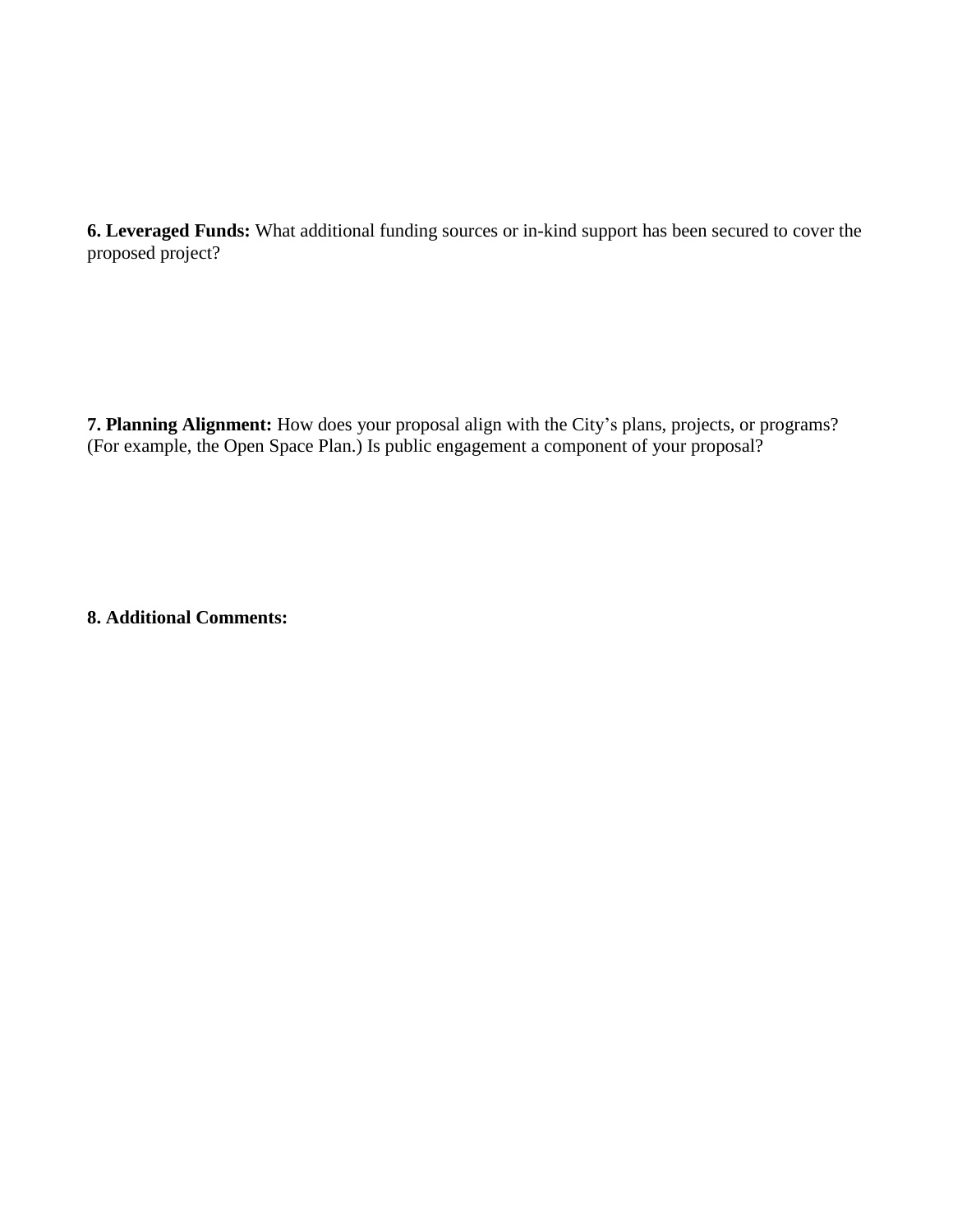**6. Leveraged Funds:** What additional funding sources or in-kind support has been secured to cover the proposed project?

**7. Planning Alignment:** How does your proposal align with the City's plans, projects, or programs? (For example, the Open Space Plan.) Is public engagement a component of your proposal?

**8. Additional Comments:**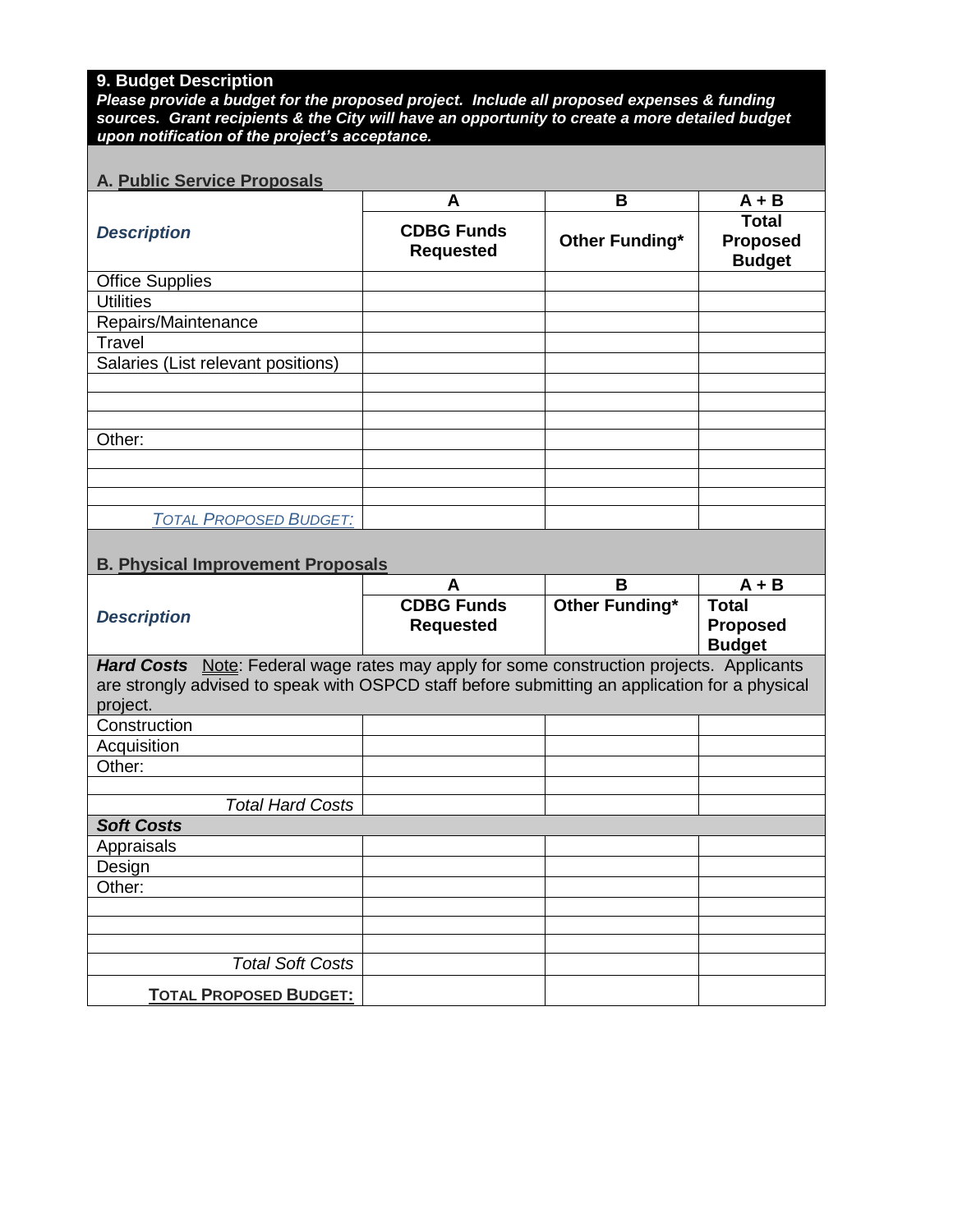# **9. Budget Description**

*Please provide a budget for the proposed project. Include all proposed expenses & funding sources. Grant recipients & the City will have an opportunity to create a more detailed budget upon notification of the project's acceptance.* 

## **A. Public Service Proposals**

|                                    | A                                     | B              | $A + B$                                          |
|------------------------------------|---------------------------------------|----------------|--------------------------------------------------|
| <b>Description</b>                 | <b>CDBG Funds</b><br><b>Requested</b> | Other Funding* | <b>Total</b><br><b>Proposed</b><br><b>Budget</b> |
| <b>Office Supplies</b>             |                                       |                |                                                  |
| <b>Utilities</b>                   |                                       |                |                                                  |
| Repairs/Maintenance                |                                       |                |                                                  |
| Travel                             |                                       |                |                                                  |
| Salaries (List relevant positions) |                                       |                |                                                  |
|                                    |                                       |                |                                                  |
|                                    |                                       |                |                                                  |
|                                    |                                       |                |                                                  |
| Other:                             |                                       |                |                                                  |
|                                    |                                       |                |                                                  |
|                                    |                                       |                |                                                  |
|                                    |                                       |                |                                                  |
| <b>TOTAL PROPOSED BUDGET:</b>      |                                       |                |                                                  |

## **B. Physical Improvement Proposals**

|                                                                                                 | А                                     | в              | $A + B$                         |
|-------------------------------------------------------------------------------------------------|---------------------------------------|----------------|---------------------------------|
| <b>Description</b>                                                                              | <b>CDBG Funds</b><br><b>Requested</b> | Other Funding* | <b>Total</b><br><b>Proposed</b> |
|                                                                                                 |                                       |                | <b>Budget</b>                   |
| <b>Hard Costs</b> Note: Federal wage rates may apply for some construction projects. Applicants |                                       |                |                                 |
| are strongly advised to speak with OSPCD staff before submitting an application for a physical  |                                       |                |                                 |
| project.                                                                                        |                                       |                |                                 |
| Construction                                                                                    |                                       |                |                                 |
| Acquisition                                                                                     |                                       |                |                                 |
| Other:                                                                                          |                                       |                |                                 |
|                                                                                                 |                                       |                |                                 |
| <b>Total Hard Costs</b>                                                                         |                                       |                |                                 |
| <b>Soft Costs</b>                                                                               |                                       |                |                                 |
| Appraisals                                                                                      |                                       |                |                                 |
| Design                                                                                          |                                       |                |                                 |
| Other:                                                                                          |                                       |                |                                 |
|                                                                                                 |                                       |                |                                 |
|                                                                                                 |                                       |                |                                 |
|                                                                                                 |                                       |                |                                 |
| <b>Total Soft Costs</b>                                                                         |                                       |                |                                 |
| <b>TOTAL PROPOSED BUDGET:</b>                                                                   |                                       |                |                                 |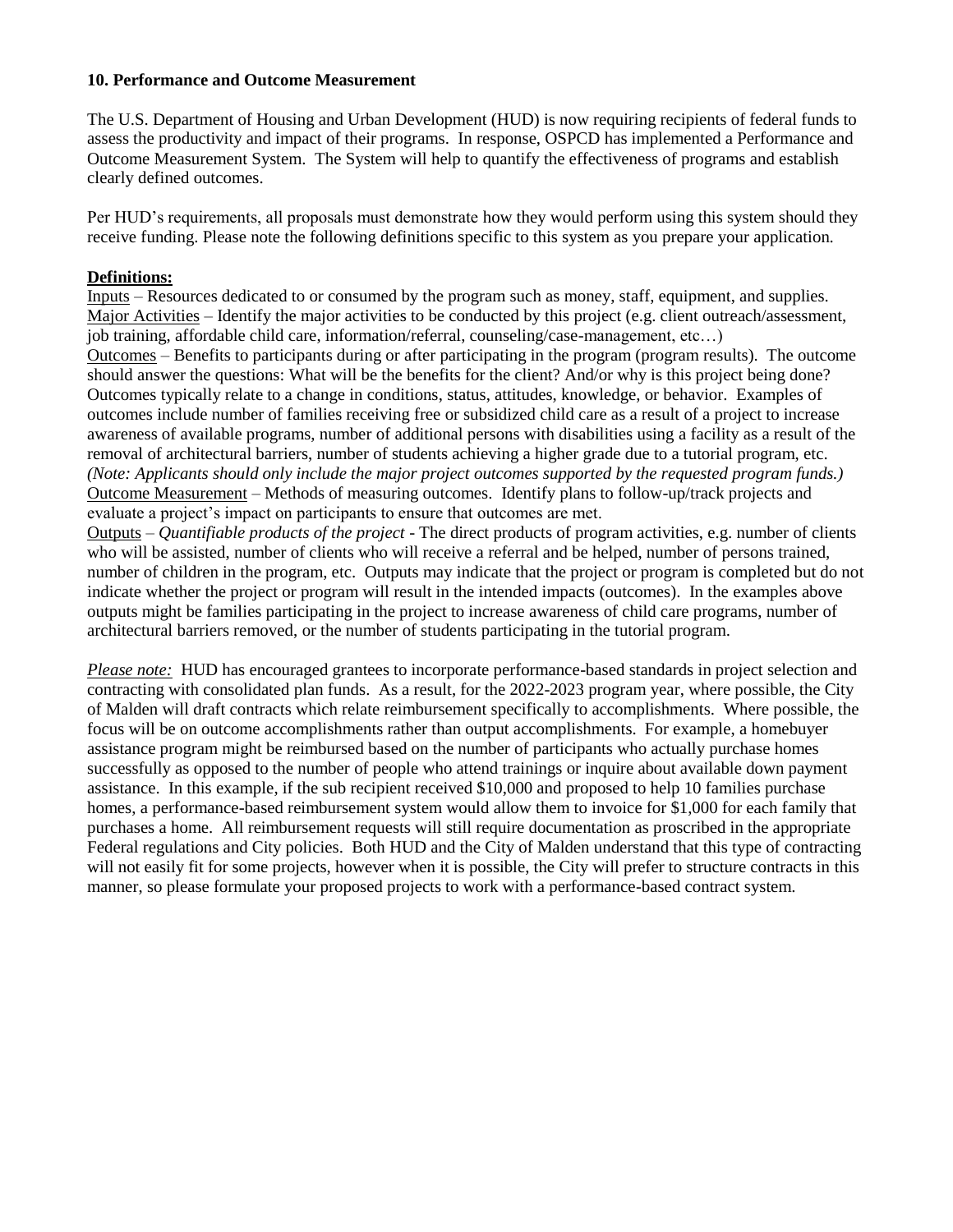#### **10. Performance and Outcome Measurement**

The U.S. Department of Housing and Urban Development (HUD) is now requiring recipients of federal funds to assess the productivity and impact of their programs. In response, OSPCD has implemented a Performance and Outcome Measurement System. The System will help to quantify the effectiveness of programs and establish clearly defined outcomes.

Per HUD's requirements, all proposals must demonstrate how they would perform using this system should they receive funding. Please note the following definitions specific to this system as you prepare your application.

#### **Definitions:**

Inputs – Resources dedicated to or consumed by the program such as money, staff, equipment, and supplies. Major Activities – Identify the major activities to be conducted by this project (e.g. client outreach/assessment, job training, affordable child care, information/referral, counseling/case-management, etc…) Outcomes – Benefits to participants during or after participating in the program (program results). The outcome should answer the questions: What will be the benefits for the client? And/or why is this project being done? Outcomes typically relate to a change in conditions, status, attitudes, knowledge, or behavior. Examples of outcomes include number of families receiving free or subsidized child care as a result of a project to increase awareness of available programs, number of additional persons with disabilities using a facility as a result of the removal of architectural barriers, number of students achieving a higher grade due to a tutorial program, etc. *(Note: Applicants should only include the major project outcomes supported by the requested program funds.)* Outcome Measurement – Methods of measuring outcomes. Identify plans to follow-up/track projects and evaluate a project's impact on participants to ensure that outcomes are met.

Outputs – *Quantifiable products of the project* - The direct products of program activities, e.g. number of clients who will be assisted, number of clients who will receive a referral and be helped, number of persons trained, number of children in the program, etc. Outputs may indicate that the project or program is completed but do not indicate whether the project or program will result in the intended impacts (outcomes). In the examples above outputs might be families participating in the project to increase awareness of child care programs, number of architectural barriers removed, or the number of students participating in the tutorial program.

*Please note:* HUD has encouraged grantees to incorporate performance-based standards in project selection and contracting with consolidated plan funds. As a result, for the 2022-2023 program year, where possible, the City of Malden will draft contracts which relate reimbursement specifically to accomplishments. Where possible, the focus will be on outcome accomplishments rather than output accomplishments. For example, a homebuyer assistance program might be reimbursed based on the number of participants who actually purchase homes successfully as opposed to the number of people who attend trainings or inquire about available down payment assistance. In this example, if the sub recipient received \$10,000 and proposed to help 10 families purchase homes, a performance-based reimbursement system would allow them to invoice for \$1,000 for each family that purchases a home. All reimbursement requests will still require documentation as proscribed in the appropriate Federal regulations and City policies. Both HUD and the City of Malden understand that this type of contracting will not easily fit for some projects, however when it is possible, the City will prefer to structure contracts in this manner, so please formulate your proposed projects to work with a performance-based contract system.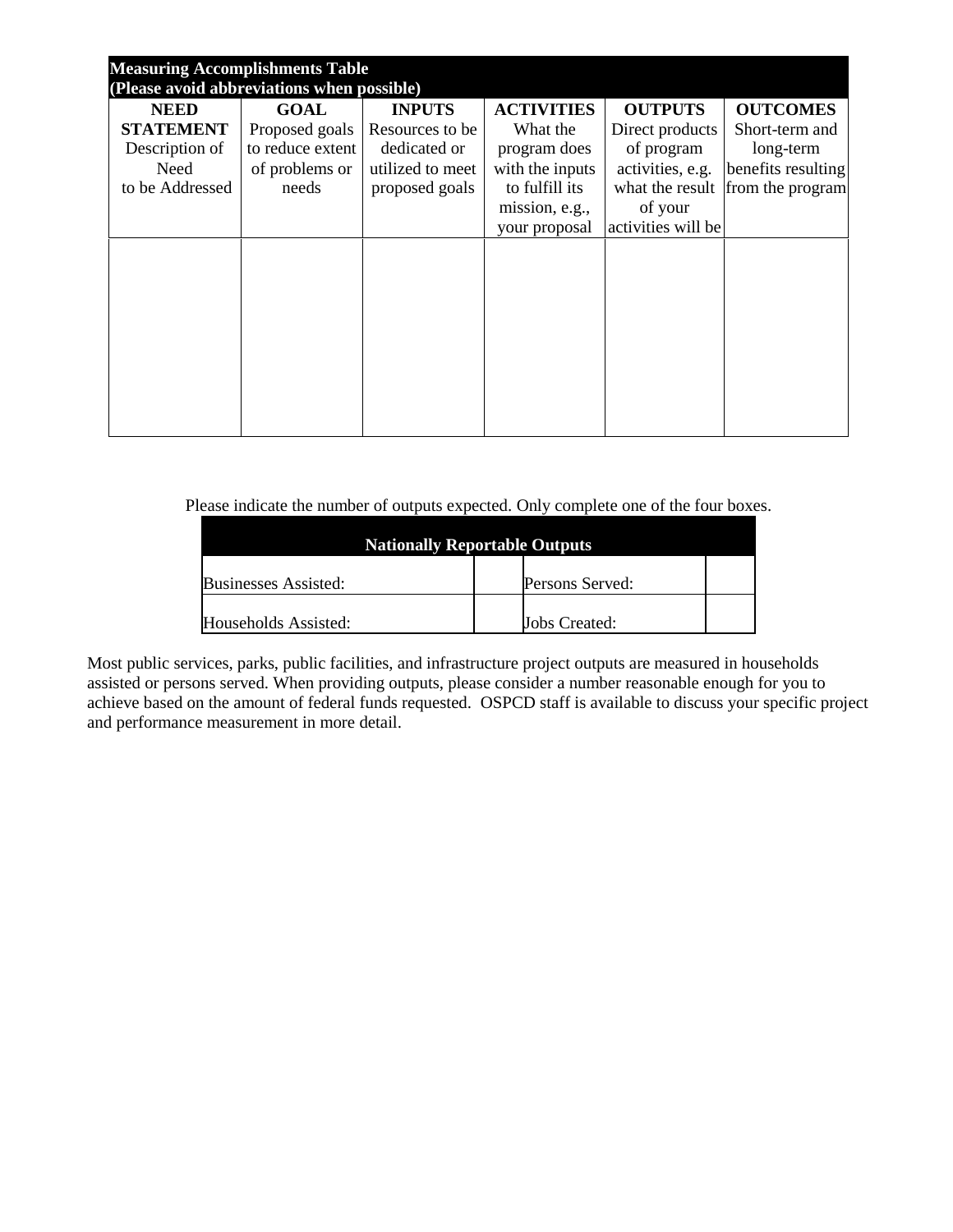| <b>Measuring Accomplishments Table</b><br>(Please avoid abbreviations when possible) |                  |                  |                   |                    |                                  |
|--------------------------------------------------------------------------------------|------------------|------------------|-------------------|--------------------|----------------------------------|
| <b>NEED</b>                                                                          | <b>GOAL</b>      | <b>INPUTS</b>    | <b>ACTIVITIES</b> | <b>OUTPUTS</b>     | <b>OUTCOMES</b>                  |
| <b>STATEMENT</b>                                                                     | Proposed goals   | Resources to be  | What the          | Direct products    | Short-term and                   |
| Description of                                                                       | to reduce extent | dedicated or     | program does      | of program         | long-term                        |
| Need                                                                                 | of problems or   | utilized to meet | with the inputs   | activities, e.g.   | benefits resulting               |
| to be Addressed                                                                      | needs            | proposed goals   | to fulfill its    |                    | what the result from the program |
|                                                                                      |                  |                  | mission, e.g.,    | of your            |                                  |
|                                                                                      |                  |                  | your proposal     | activities will be |                                  |
|                                                                                      |                  |                  |                   |                    |                                  |
|                                                                                      |                  |                  |                   |                    |                                  |
|                                                                                      |                  |                  |                   |                    |                                  |
|                                                                                      |                  |                  |                   |                    |                                  |
|                                                                                      |                  |                  |                   |                    |                                  |
|                                                                                      |                  |                  |                   |                    |                                  |
|                                                                                      |                  |                  |                   |                    |                                  |
|                                                                                      |                  |                  |                   |                    |                                  |
|                                                                                      |                  |                  |                   |                    |                                  |
|                                                                                      |                  |                  |                   |                    |                                  |

Please indicate the number of outputs expected. Only complete one of the four boxes.

| <b>Nationally Reportable Outputs</b> |                      |  |  |
|--------------------------------------|----------------------|--|--|
| <b>Businesses Assisted:</b>          | Persons Served:      |  |  |
| Households Assisted:                 | <b>Jobs Created:</b> |  |  |

Most public services, parks, public facilities, and infrastructure project outputs are measured in households assisted or persons served. When providing outputs, please consider a number reasonable enough for you to achieve based on the amount of federal funds requested. OSPCD staff is available to discuss your specific project and performance measurement in more detail.